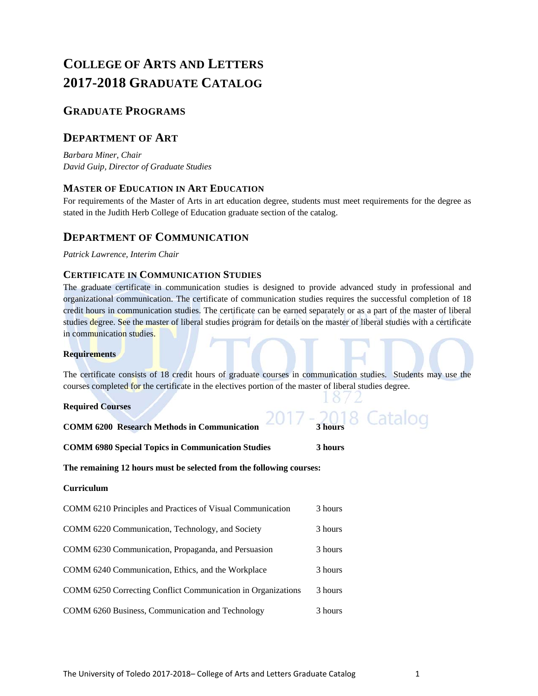# **COLLEGE OF ARTS AND LETTERS 2017-2018 GRADUATE CATALOG**

# **GRADUATE PROGRAMS**

# **DEPARTMENT OF ART**

*Barbara Miner, Chair David Guip, Director of Graduate Studies* 

# **MASTER OF EDUCATION IN ART EDUCATION**

For requirements of the Master of Arts in art education degree, students must meet requirements for the degree as stated in the Judith Herb College of Education graduate section of the catalog.

# **DEPARTMENT OF COMMUNICATION**

*Patrick Lawrence, Interim Chair*

# **CERTIFICATE IN COMMUNICATION STUDIES**

The graduate certificate in communication studies is designed to provide advanced study in professional and organizational communication. The certificate of communication studies requires the successful completion of 18 credit hours in communication studies. The certificate can be earned separately or as a part of the master of liberal studies degree. See the master of liberal studies program for details on the master of liberal studies with a certificate in communication studies.

# **Requirements**

The certificate consists of 18 credit hours of graduate courses in communication studies. Students may use the courses completed for the certificate in the electives portion of the master of liberal studies degree.

 $10/2$ 

# **Required Courses**

| <b>COMM 6200 Research Methods in Communication</b>                  | 3 hours |
|---------------------------------------------------------------------|---------|
| <b>COMM 6980 Special Topics in Communication Studies</b>            | 3 hours |
| The remaining 12 hours must be selected from the following courses: |         |
| <b>Curriculum</b>                                                   |         |
| COMM 6210 Principles and Practices of Visual Communication          | 3 hours |
| COMM 6220 Communication, Technology, and Society                    | 3 hours |
| COMM 6230 Communication, Propaganda, and Persuasion                 | 3 hours |
| COMM 6240 Communication, Ethics, and the Workplace                  | 3 hours |
| COMM 6250 Correcting Conflict Communication in Organizations        | 3 hours |
| COMM 6260 Business, Communication and Technology                    | 3 hours |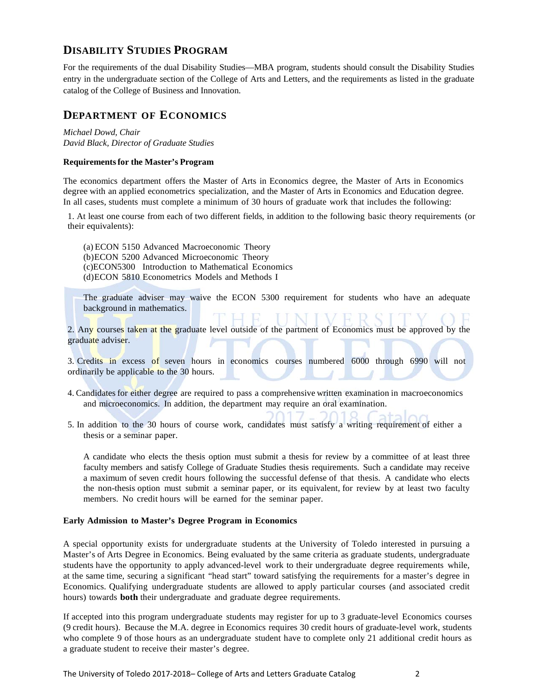# **DISABILITY STUDIES PROGRAM**

For the requirements of the dual Disability Studies—MBA program, students should consult the Disability Studies entry in the undergraduate section of the College of Arts and Letters, and the requirements as listed in the graduate catalog of the College of Business and Innovation.

# **DEPARTMENT OF ECONOMICS**

*Michael Dowd, Chair David Black, Director of Graduate Studies*

# **Requirements for the Master's Program**

The economics department offers the Master of Arts in Economics degree, the Master of Arts in Economics degree with an applied econometrics specialization, and the Master of Arts in Economics and Education degree. In all cases, students must complete a minimum of 30 hours of graduate work that includes the following:

1. At least one course from each of two different fields, in addition to the following basic theory requirements (or their equivalents):

(a) ECON 5150 Advanced Macroeconomic Theory (b)ECON 5200 Advanced Microeconomic Theory (c)ECON5300 Introduction to Mathematical Economics (d)ECON 5810 Econometrics Models and Methods I

The graduate adviser may waive the ECON 5300 requirement for students who have an adequate background in mathematics.

2. Any courses taken at the graduate level outside of the partment of Economics must be approved by the graduate adviser.

3. Credits in excess of seven hours in economics courses numbered 6000 through 6990 will not ordinarily be applicable to the 30 hours.

- 4. Candidates for either degree are required to pass a comprehensive written examination in macroeconomics and microeconomics. In addition, the department may require an oral examination.
- 5. In addition to the 30 hours of course work, candidates must satisfy a writing requirement of either a thesis or a seminar paper.

A candidate who elects the thesis option must submit a thesis for review by a committee of at least three faculty members and satisfy College of Graduate Studies thesis requirements. Such a candidate may receive a maximum of seven credit hours following the successful defense of that thesis. A candidate who elects the non-thesis option must submit a seminar paper, or its equivalent, for review by at least two faculty members. No credit hours will be earned for the seminar paper.

# **Early Admission to Master's Degree Program in Economics**

A special opportunity exists for undergraduate students at the University of Toledo interested in pursuing a Master's of Arts Degree in Economics. Being evaluated by the same criteria as graduate students, undergraduate students have the opportunity to apply advanced-level work to their undergraduate degree requirements while, at the same time, securing a significant "head start" toward satisfying the requirements for a master's degree in Economics. Qualifying undergraduate students are allowed to apply particular courses (and associated credit hours) towards **both** their undergraduate and graduate degree requirements.

If accepted into this program undergraduate students may register for up to 3 graduate-level Economics courses (9 credit hours). Because the M.A. degree in Economics requires 30 credit hours of graduate-level work, students who complete 9 of those hours as an undergraduate student have to complete only 21 additional credit hours as a graduate student to receive their master's degree.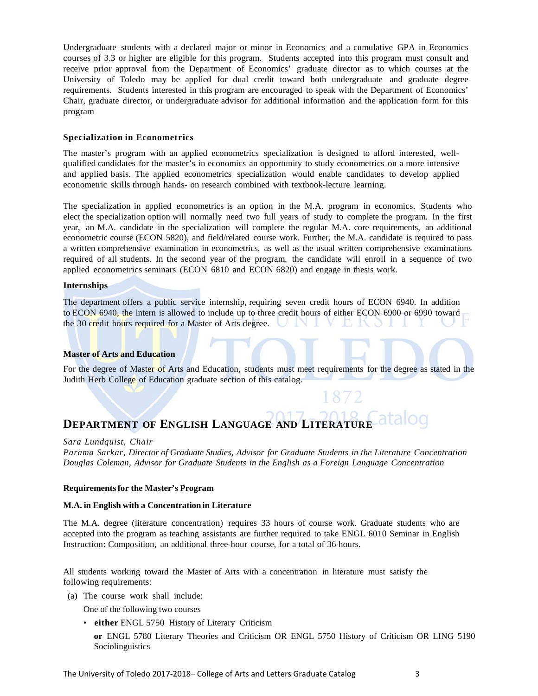Undergraduate students with a declared major or minor in Economics and a cumulative GPA in Economics courses of 3.3 or higher are eligible for this program. Students accepted into this program must consult and receive prior approval from the Department of Economics' graduate director as to which courses at the University of Toledo may be applied for dual credit toward both undergraduate and graduate degree requirements. Students interested in this program are encouraged to speak with the Department of Economics' Chair, graduate director, or undergraduate advisor for additional information and the application form for this program

## **Specialization in Econometrics**

The master's program with an applied econometrics specialization is designed to afford interested, wellqualified candidates for the master's in economics an opportunity to study econometrics on a more intensive and applied basis. The applied econometrics specialization would enable candidates to develop applied econometric skills through hands- on research combined with textbook-lecture learning.

The specialization in applied econometrics is an option in the M.A. program in economics. Students who elect the specialization option will normally need two full years of study to complete the program. In the first year, an M.A. candidate in the specialization will complete the regular M.A. core requirements, an additional econometric course (ECON 5820), and field/related course work. Further, the M.A. candidate is required to pass a written comprehensive examination in econometrics, as well as the usual written comprehensive examinations required of all students. In the second year of the program, the candidate will enroll in a sequence of two applied econometrics seminars (ECON 6810 and ECON 6820) and engage in thesis work.

# **Internships**

The department offers a public service internship, requiring seven credit hours of ECON 6940. In addition to ECON 6940, the intern is allowed to include up to three credit hours of either ECON 6900 or 6990 toward the 30 credit hours required for a Master of Arts degree. K.

### **Master of Arts and Education**

For the degree of Master of Arts and Education, students must meet requirements for the degree as stated in the Judith Herb College of Education graduate section of this catalog.

#### atalog **DEPARTMENT OF ENGLISH LANGUAGE AND LITERATURE**

#### *Sara Lundquist, Chair*

*Parama Sarkar, Director of Graduate Studies, Advisor for Graduate Students in the Literature Concentration Douglas Coleman, Advisor for Graduate Students in the English as a Foreign Language Concentration*

### **Requirements for the Master's Program**

#### **M.A. in English with a Concentration in Literature**

The M.A. degree (literature concentration) requires 33 hours of course work. Graduate students who are accepted into the program as teaching assistants are further required to take ENGL 6010 Seminar in English Instruction: Composition, an additional three-hour course, for a total of 36 hours.

All students working toward the Master of Arts with a concentration in literature must satisfy the following requirements:

(a) The course work shall include:

One of the following two courses

• **either** ENGL 5750 History of Literary Criticism

**or** ENGL 5780 Literary Theories and Criticism OR ENGL 5750 History of Criticism OR LING 5190 Sociolinguistics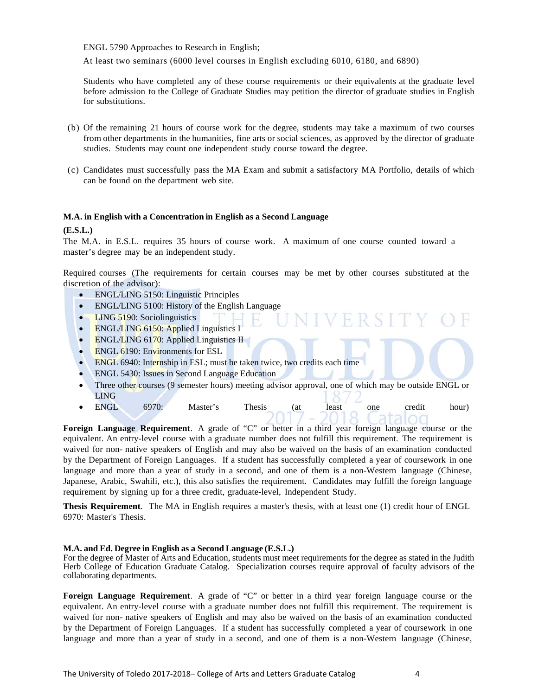ENGL 5790 Approaches to Research in English;

At least two seminars (6000 level courses in English excluding 6010, 6180, and 6890)

Students who have completed any of these course requirements or their equivalents at the graduate level before admission to the College of Graduate Studies may petition the director of graduate studies in English for substitutions.

- (b) Of the remaining 21 hours of course work for the degree, students may take a maximum of two courses from other departments in the humanities, fine arts or social sciences, as approved by the director of graduate studies. Students may count one independent study course toward the degree.
- (c) Candidates must successfully pass the MA Exam and submit a satisfactory MA Portfolio, details of which can be found on the department web site.

# **M.A. in English with a Concentration in English as a Second Language**

**(E.S.L.)**

The M.A. in E.S.L. requires 35 hours of course work. A maximum of one course counted toward a master's degree may be an independent study.

Required courses (The requirements for certain courses may be met by other courses substituted at the discretion of the advisor):

- ENGL/LING 5150: Linguistic Principles
- ENGL/LING 5100: History of the English Language
- LING 5190: Sociolinguistics
- ENGL/LING 6150: Applied Linguistics I
- ENGL/LING 6170: Applied Linguistics II
- $\bullet$  ENGL 6190: Environments for ESL
- ENGL 6940: Internship in ESL; must be taken twice, two credits each time
- ENGL 5430: Issues in Second Language Education
- Three other courses (9 semester hours) meeting advisor approval, one of which may be outside ENGL or LING

**JIVERSITY** 

ENGL 6970: Master's Thesis (at least one credit hour)

**Foreign Language Requirement**. A grade of "C" or better in a third year foreign language course or the equivalent. An entry-level course with a graduate number does not fulfill this requirement. The requirement is waived for non- native speakers of English and may also be waived on the basis of an examination conducted by the Department of Foreign Languages. If a student has successfully completed a year of coursework in one language and more than a year of study in a second, and one of them is a non-Western language (Chinese, Japanese, Arabic, Swahili, etc.), this also satisfies the requirement. Candidates may fulfill the foreign language requirement by signing up for a three credit, graduate-level, Independent Study.

**Thesis Requirement**. The MA in English requires a master's thesis, with at least one (1) credit hour of ENGL 6970: Master's Thesis.

### **M.A. and Ed. Degree in English as a Second Language (E.S.L.)**

For the degree of Master of Arts and Education, students must meet requirements for the degree as stated in the Judith Herb College of Education Graduate Catalog. Specialization courses require approval of faculty advisors of the collaborating departments.

**Foreign Language Requirement**. A grade of "C" or better in a third year foreign language course or the equivalent. An entry-level course with a graduate number does not fulfill this requirement. The requirement is waived for non- native speakers of English and may also be waived on the basis of an examination conducted by the Department of Foreign Languages. If a student has successfully completed a year of coursework in one language and more than a year of study in a second, and one of them is a non-Western language (Chinese,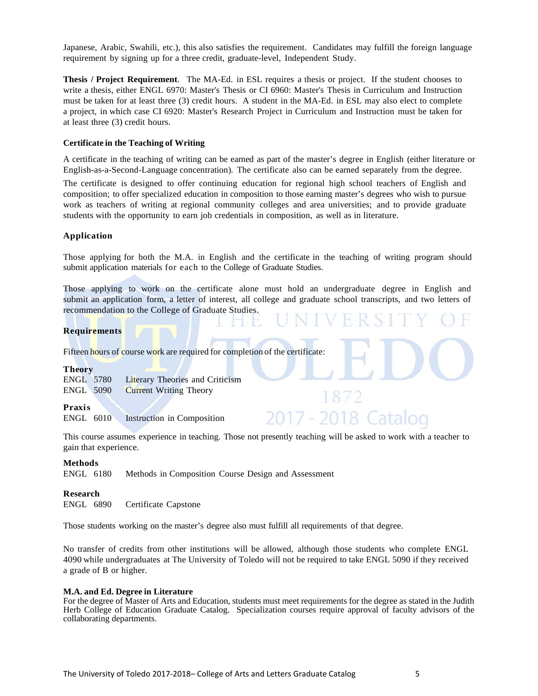Japanese, Arabic, Swahili, etc.), this also satisfies the requirement. Candidates may fulfill the foreign language requirement by signing up for a three credit, graduate-level, Independent Study.

**Thesis / Project Requirement**. The MA-Ed. in ESL requires a thesis or project. If the student chooses to write a thesis, either ENGL 6970: Master's Thesis or CI 6960: Master's Thesis in Curriculum and Instruction must be taken for at least three (3) credit hours. A student in the MA-Ed. in ESL may also elect to complete a project, in which case CI 6920: Master's Research Project in Curriculum and Instruction must be taken for at least three (3) credit hours.

#### **Certificate in the Teaching of Writing**

A certificate in the teaching of writing can be earned as part of the master's degree in English (either literature or English-as-a-Second-Language concentration). The certificate also can be earned separately from the degree.

The certificate is designed to offer continuing education for regional high school teachers of English and composition; to offer specialized education in composition to those earning master's degrees who wish to pursue work as teachers of writing at regional community colleges and area universities; and to provide graduate students with the opportunity to earn job credentials in composition, as well as in literature.

#### **Application**

Those applying for both the M.A. in English and the certificate in the teaching of writing program should submit application materials for each to the College of Graduate Studies.

Those applying to work on the certificate alone must hold an undergraduate degree in English and submit an application form, a letter of interest, all college and graduate school transcripts, and two letters of recommendation to the College of Graduate Studies.

#### **Requirements**

Fifteen hours of course work are required for completion of the certificate:

#### **Theory**

ENGL 5780 Literary Theories and Criticism ENGL 5090 Current Writing Theory

#### **Praxis**

ENGL 6010 Instruction in Composition

This course assumes experience in teaching. Those not presently teaching will be asked to work with a teacher to gain that experience.

 $\sqrt{2}$ 

2018 Cata

### **Methods**

ENGL 6180 Methods in Composition Course Design and Assessment

#### **Research**

ENGL 6890 Certificate Capstone

Those students working on the master's degree also must fulfill all requirements of that degree.

No transfer of credits from other institutions will be allowed, although those students who complete ENGL 4090 while undergraduates at The University of Toledo will not be required to take ENGL 5090 if they received a grade of B or higher.

#### **M.A. and Ed. Degree in Literature**

For the degree of Master of Arts and Education, students must meet requirements for the degree as stated in the Judith Herb College of Education Graduate Catalog. Specialization courses require approval of faculty advisors of the collaborating departments.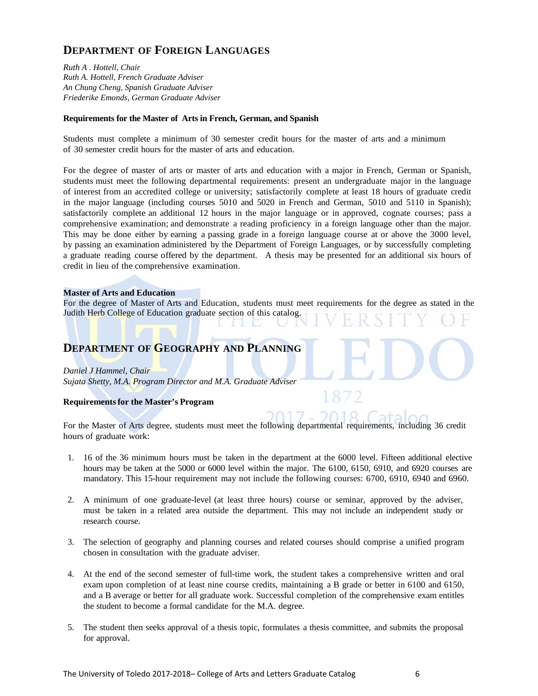# **DEPARTMENT OF FOREIGN LANGUAGES**

*Ruth A . Hottell, Chair Ruth A. Hottell, French Graduate Adviser An Chung Cheng, Spanish Graduate Adviser Friederike Emonds, German Graduate Adviser* 

# **Requirements for the Master of Arts in French, German, and Spanish**

Students must complete a minimum of 30 semester credit hours for the master of arts and a minimum of 30 semester credit hours for the master of arts and education.

For the degree of master of arts or master of arts and education with a major in French, German or Spanish, students must meet the following departmental requirements: present an undergraduate major in the language of interest from an accredited college or university; satisfactorily complete at least 18 hours of graduate credit in the major language (including courses 5010 and 5020 in French and German, 5010 and 5110 in Spanish); satisfactorily complete an additional 12 hours in the major language or in approved, cognate courses; pass a comprehensive examination; and demonstrate a reading proficiency in a foreign language other than the major. This may be done either by earning a passing grade in a foreign language course at or above the 3000 level, by passing an examination administered by the Department of Foreign Languages, or by successfully completing a graduate reading course offered by the department. A thesis may be presented for an additional six hours of credit in lieu of the comprehensive examination.

# **Master of Arts and Education**

For the degree of Master of Arts and Education, students must meet requirements for the degree as stated in the Judith Herb College of Education graduate section of this catalog.

# **DEPARTMENT OF GEOGRAPHY AND PLANNING**

### *Daniel J Hammel, Chair*

*Sujata Shetty, M.A. Program Director and M.A. Graduate Adviser*

# **Requirements for the Master's Program**

For the Master of Arts degree, students must meet the following departmental requirements, including 36 credit hours of graduate work:

- 1. 16 of the 36 minimum hours must be taken in the department at the 6000 level. Fifteen additional elective hours may be taken at the 5000 or 6000 level within the major. The 6100, 6150, 6910, and 6920 courses are mandatory. This 15-hour requirement may not include the following courses: 6700, 6910, 6940 and 6960.
- 2. A minimum of one graduate-level (at least three hours) course or seminar, approved by the adviser, must be taken in a related area outside the department. This may not include an independent study or research course.
- 3. The selection of geography and planning courses and related courses should comprise a unified program chosen in consultation with the graduate adviser.
- 4. At the end of the second semester of full-time work, the student takes a comprehensive written and oral exam upon completion of at least nine course credits, maintaining a B grade or better in 6100 and 6150, and a B average or better for all graduate work. Successful completion of the comprehensive exam entitles the student to become a formal candidate for the M.A. degree.
- 5. The student then seeks approval of a thesis topic, formulates a thesis committee, and submits the proposal for approval.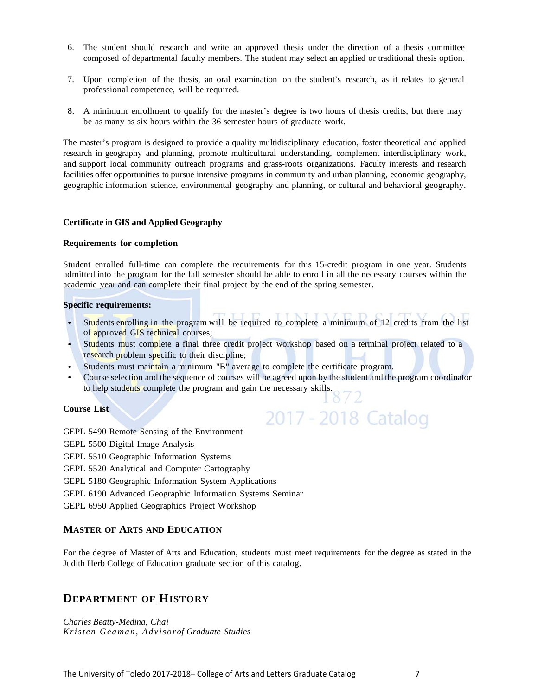- 6. The student should research and write an approved thesis under the direction of a thesis committee composed of departmental faculty members. The student may select an applied or traditional thesis option.
- 7. Upon completion of the thesis, an oral examination on the student's research, as it relates to general professional competence, will be required.
- 8. A minimum enrollment to qualify for the master's degree is two hours of thesis credits, but there may be as many as six hours within the 36 semester hours of graduate work.

The master's program is designed to provide a quality multidisciplinary education, foster theoretical and applied research in geography and planning, promote multicultural understanding, complement interdisciplinary work, and support local community outreach programs and grass-roots organizations. Faculty interests and research facilities offer opportunities to pursue intensive programs in community and urban planning, economic geography, geographic information science, environmental geography and planning, or cultural and behavioral geography.

### **Certificate in GIS and Applied Geography**

### **Requirements for completion**

Student enrolled full-time can complete the requirements for this 15-credit program in one year. Students admitted into the program for the fall semester should be able to enroll in all the necessary courses within the academic year and can complete their final project by the end of the spring semester.

### **Specific requirements:**

- Students enrolling in the program will be required to complete a minimum of 12 credits from the list of approved GIS technical courses;
- Students must complete a final three credit project workshop based on a terminal project related to a research problem specific to their discipline;
- Students must maintain a minimum "B" average to complete the certificate program.
- Course selection and the sequence of courses will be agreed upon by the student and the program coordinator to help students complete the program and gain the necessary skills.

2017 - 2018 Catalog

# **Course List**

GEPL 5490 Remote Sensing of the Environment

- GEPL 5500 Digital Image Analysis
- GEPL 5510 Geographic Information Systems
- GEPL 5520 Analytical and Computer Cartography
- GEPL 5180 Geographic Information System Applications
- GEPL 6190 Advanced Geographic Information Systems Seminar

GEPL 6950 Applied Geographics Project Workshop

### **MASTER OF ARTS AND EDUCATION**

For the degree of Master of Arts and Education, students must meet requirements for the degree as stated in the Judith Herb College of Education graduate section of this catalog.

# **DEPARTMENT OF HISTORY**

*Charles Beatty-Medina, Chai Kristen Geaman, Advisorof Graduate Studies*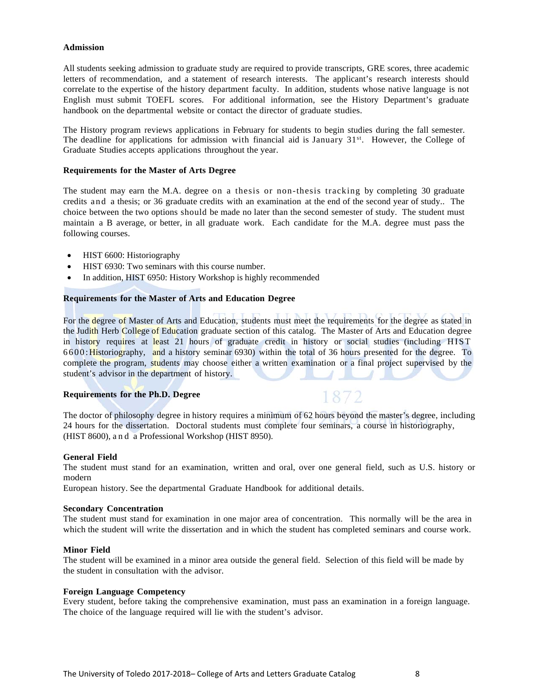#### **Admission**

All students seeking admission to graduate study are required to provide transcripts, GRE scores, three academic letters of recommendation, and a statement of research interests. The applicant's research interests should correlate to the expertise of the history department faculty. In addition, students whose native language is not English must submit TOEFL scores. For additional information, see the History Department's graduate handbook on the departmental website or contact the director of graduate studies.

The History program reviews applications in February for students to begin studies during the fall semester. The deadline for applications for admission with financial aid is January 31<sup>st</sup>. However, the College of Graduate Studies accepts applications throughout the year.

#### **Requirements for the Master of Arts Degree**

The student may earn the M.A. degree on a thesis or non-thesis tracking by completing 30 graduate credits an d a thesis; or 36 graduate credits with an examination at the end of the second year of study.. The choice between the two options should be made no later than the second semester of study. The student must maintain a B average, or better, in all graduate work. Each candidate for the M.A. degree must pass the following courses.

- HIST 6600: Historiography
- HIST 6930: Two seminars with this course number.
- In addition, HIST 6950: History Workshop is highly recommended

### **Requirements for the Master of Arts and Education Degree**

For the degree of Master of Arts and Education, students must meet the requirements for the degree as stated in the Judith Herb College of Education graduate section of this catalog. The Master of Arts and Education degree in history requires at least 21 hours of graduate credit in history or social studies (including HIST 6600: Historiography, and a history seminar 6930) within the total of 36 hours presented for the degree. To complete the program, students may choose either a written examination or a final project supervised by the student's advisor in the department of history.

### **Requirements for the Ph.D. Degree**

The doctor of philosophy degree in history requires a minimum of 62 hours beyond the master's degree, including 24 hours for the dissertation. Doctoral students must complete four seminars, a course in historiography, (HIST 8600), a n d a Professional Workshop (HIST 8950).

1872

#### **General Field**

The student must stand for an examination, written and oral, over one general field, such as U.S. history or modern

European history. See the departmental Graduate Handbook for additional details.

#### **Secondary Concentration**

The student must stand for examination in one major area of concentration. This normally will be the area in which the student will write the dissertation and in which the student has completed seminars and course work.

#### **Minor Field**

The student will be examined in a minor area outside the general field. Selection of this field will be made by the student in consultation with the advisor.

#### **Foreign Language Competency**

Every student, before taking the comprehensive examination, must pass an examination in a foreign language. The choice of the language required will lie with the student's advisor.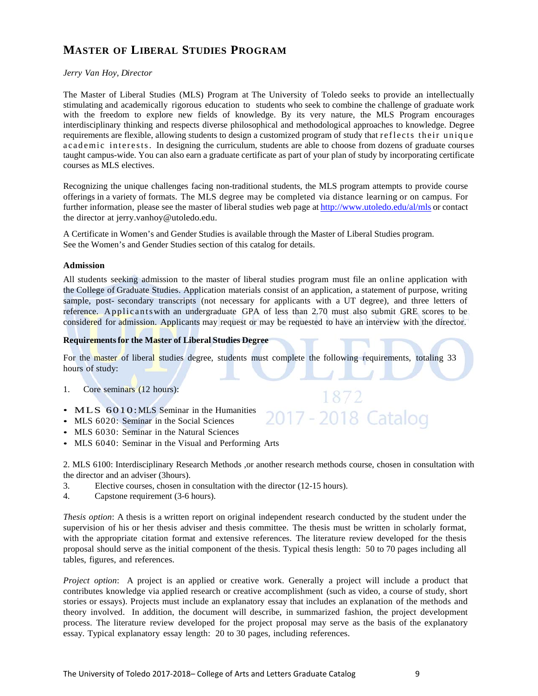# **MASTER OF LIBERAL STUDIES PROGRAM**

# *Jerry Van Hoy, Director*

The Master of Liberal Studies (MLS) Program at The University of Toledo seeks to provide an intellectually stimulating and academically rigorous education to students who seek to combine the challenge of graduate work with the freedom to explore new fields of knowledge. By its very nature, the MLS Program encourages interdisciplinary thinking and respects diverse philosophical and methodological approaches to knowledge. Degree requirements are flexible, allowing students to design a customized program of study that r e flects their unique a c a d e mi c interests. In designing the curriculum, students are able to choose from dozens of graduate courses taught campus-wide. You can also earn a graduate certificate as part of your plan of study by incorporating certificate courses as MLS electives.

Recognizing the unique challenges facing non-traditional students, the MLS program attempts to provide course offerings in a variety of formats. The MLS degree may be completed via distance learning or on campus. For further information, please see the master of liberal studies web page at http://www.utoledo.edu/al/mls or contact the director at jerry.vanhoy@utoledo.edu.

A Certificate in Women's and Gender Studies is available through the Master of Liberal Studies program. See the Women's and Gender Studies section of this catalog for details.

### **Admission**

All students seeking admission to the master of liberal studies program must file an online application with the College of Graduate Studies. Application materials consist of an application, a statement of purpose, writing sample, post- secondary transcripts (not necessary for applicants with a UT degree), and three letters of reference. Applicants with an undergraduate GPA of less than 2.70 must also submit GRE scores to be considered for admission. Applicants may request or may be requested to have an interview with the director.

### **Requirements for the Master of Liberal Studies Degree**

For the master of liberal studies degree, students must complete the following requirements, totaling 33 hours of study:

- 1. Core seminars (12 hours):
- MLS 6010:MLS Seminar in the Humanities
- MLS 6020: Seminar in the Social Sciences
- MLS 6030: Seminar in the Natural Sciences
- MLS 6040: Seminar in the Visual and Performing Arts

2. MLS 6100: Interdisciplinary Research Methods ,or another research methods course, chosen in consultation with the director and an adviser (3hours).

1872

17 - 2018 Catalog

- 3. Elective courses, chosen in consultation with the director (12-15 hours).
- 4. Capstone requirement (3-6 hours).

*Thesis option*: A thesis is a written report on original independent research conducted by the student under the supervision of his or her thesis adviser and thesis committee. The thesis must be written in scholarly format, with the appropriate citation format and extensive references. The literature review developed for the thesis proposal should serve as the initial component of the thesis. Typical thesis length: 50 to 70 pages including all tables, figures, and references.

*Project option*: A project is an applied or creative work. Generally a project will include a product that contributes knowledge via applied research or creative accomplishment (such as video, a course of study, short stories or essays). Projects must include an explanatory essay that includes an explanation of the methods and theory involved. In addition, the document will describe, in summarized fashion, the project development process. The literature review developed for the project proposal may serve as the basis of the explanatory essay. Typical explanatory essay length: 20 to 30 pages, including references.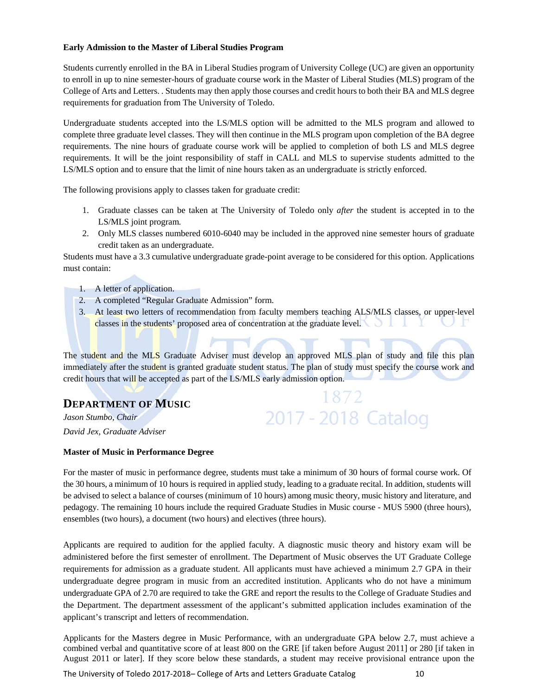# **Early Admission to the Master of Liberal Studies Program**

Students currently enrolled in the BA in Liberal Studies program of University College (UC) are given an opportunity to enroll in up to nine semester-hours of graduate course work in the Master of Liberal Studies (MLS) program of the College of Arts and Letters. . Students may then apply those courses and credit hours to both their BA and MLS degree requirements for graduation from The University of Toledo.

Undergraduate students accepted into the LS/MLS option will be admitted to the MLS program and allowed to complete three graduate level classes. They will then continue in the MLS program upon completion of the BA degree requirements. The nine hours of graduate course work will be applied to completion of both LS and MLS degree requirements. It will be the joint responsibility of staff in CALL and MLS to supervise students admitted to the LS/MLS option and to ensure that the limit of nine hours taken as an undergraduate is strictly enforced.

The following provisions apply to classes taken for graduate credit:

- 1. Graduate classes can be taken at The University of Toledo only *after* the student is accepted in to the LS/MLS joint program*.*
- 2. Only MLS classes numbered 6010-6040 may be included in the approved nine semester hours of graduate credit taken as an undergraduate.

Students must have a 3.3 cumulative undergraduate grade-point average to be considered for this option. Applications must contain:

- 1. A letter of application.
- 2. A completed "Regular Graduate Admission" form.
- 3. At least two letters of recommendation from faculty members teaching ALS/MLS classes, or upper-level classes in the students' proposed area of concentration at the graduate level.

The student and the MLS Graduate Adviser must develop an approved MLS plan of study and file this plan immediately after the student is granted graduate student status. The plan of study must specify the course work and credit hours that will be accepted as part of the LS/MLS early admission option.

1872

2017 - 2018 Catalog

# **DEPARTMENT OF MUSIC**

*Jason Stumbo, Chair David Jex, Graduate Adviser* 

# **Master of Music in Performance Degree**

For the master of music in performance degree, students must take a minimum of 30 hours of formal course work. Of the 30 hours, a minimum of 10 hours is required in applied study, leading to a graduate recital. In addition, students will be advised to select a balance of courses (minimum of 10 hours) among music theory, music history and literature, and pedagogy. The remaining 10 hours include the required Graduate Studies in Music course - MUS 5900 (three hours), ensembles (two hours), a document (two hours) and electives (three hours).

Applicants are required to audition for the applied faculty. A diagnostic music theory and history exam will be administered before the first semester of enrollment. The Department of Music observes the UT Graduate College requirements for admission as a graduate student. All applicants must have achieved a minimum 2.7 GPA in their undergraduate degree program in music from an accredited institution. Applicants who do not have a minimum undergraduate GPA of 2.70 are required to take the GRE and report the results to the College of Graduate Studies and the Department. The department assessment of the applicant's submitted application includes examination of the applicant's transcript and letters of recommendation.

Applicants for the Masters degree in Music Performance, with an undergraduate GPA below 2.7, must achieve a combined verbal and quantitative score of at least 800 on the GRE [if taken before August 2011] or 280 [if taken in August 2011 or later]. If they score below these standards, a student may receive provisional entrance upon the

The University of Toledo 2017-2018– College of Arts and Letters Graduate Catalog **10**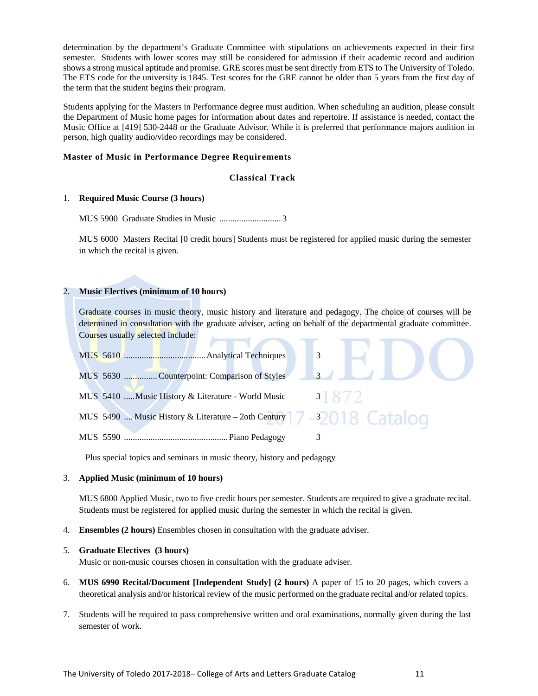determination by the department's Graduate Committee with stipulations on achievements expected in their first semester. Students with lower scores may still be considered for admission if their academic record and audition shows a strong musical aptitude and promise. GRE scores must be sent directly from ETS to The University of Toledo. The ETS code for the university is 1845. Test scores for the GRE cannot be older than 5 years from the first day of the term that the student begins their program.

Students applying for the Masters in Performance degree must audition. When scheduling an audition, please consult the Department of Music home pages for information about dates and repertoire. If assistance is needed, contact the Music Office at [419] 530-2448 or the Graduate Advisor. While it is preferred that performance majors audition in person, high quality audio/video recordings may be considered.

# **Master of Music in Performance Degree Requirements**

# **Classical Track**

# 1. **Required Music Course (3 hours)**

MUS 5900 Graduate Studies in Music ............................ 3

MUS 6000 Masters Recital [0 credit hours] Students must be registered for applied music during the semester in which the recital is given.

# 2. **Music Electives (minimum of 10 hours)**

Graduate courses in music theory, music history and literature and pedagogy. The choice of courses will be determined in consultation with the graduate adviser, acting on behalf of the departmental graduate committee. Courses usually selected include:



Plus special topics and seminars in music theory, history and pedagogy

### 3. **Applied Music (minimum of 10 hours)**

MUS 6800 Applied Music, two to five credit hours per semester. Students are required to give a graduate recital. Students must be registered for applied music during the semester in which the recital is given.

4. **Ensembles (2 hours)** Ensembles chosen in consultation with the graduate adviser.

# 5. **Graduate Electives (3 hours)**

Music or non-music courses chosen in consultation with the graduate adviser.

- 6. **MUS 6990 Recital/Document [Independent Study] (2 hours)** A paper of 15 to 20 pages, which covers a theoretical analysis and/or historical review of the music performed on the graduate recital and/or related topics.
- 7. Students will be required to pass comprehensive written and oral examinations, normally given during the last semester of work.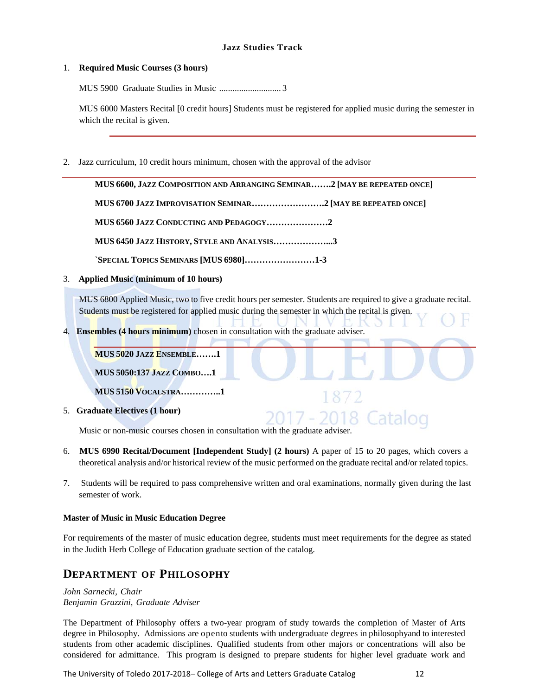# **Jazz Studies Track**

# 1. **Required Music Courses (3 hours)**

MUS 5900 Graduate Studies in Music ............................ 3

MUS 6000 Masters Recital [0 credit hours] Students must be registered for applied music during the semester in which the recital is given.

2. Jazz curriculum, 10 credit hours minimum, chosen with the approval of the advisor

**MUS 6600, JAZZ COMPOSITION AND ARRANGING SEMINAR…….2 [MAY BE REPEATED ONCE] MUS 6700 JAZZ IMPROVISATION SEMINAR…………………….2 [MAY BE REPEATED ONCE] MUS 6560 JAZZ CONDUCTING AND PEDAGOGY…………………2 MUS 6450 JAZZ HISTORY, STYLE AND ANALYSIS………………...3 `SPECIAL TOPICS SEMINARS [MUS 6980]……………………1-3**

# 3. **Applied Music (minimum of 10 hours)**

MUS 6800 Applied Music, two to five credit hours per semester. Students are required to give a graduate recital. Students must be registered for applied music during the semester in which the recital is given.

1872

4. **Ensembles (4 hours minimum)** chosen in consultation with the graduate adviser.

**MUS 5020 JAZZ ENSEMBLE…….1** 

**MUS 5050:137 JAZZ COMBO….1** 

**MUS 5150 VOCALSTRA…………..1** 

5. **Graduate Electives (1 hour)**

7 - 2018 Catalog Music or non-music courses chosen in consultation with the graduate adviser.

- 6. **MUS 6990 Recital/Document [Independent Study] (2 hours)** A paper of 15 to 20 pages, which covers a theoretical analysis and/or historical review of the music performed on the graduate recital and/or related topics.
- 7. Students will be required to pass comprehensive written and oral examinations, normally given during the last semester of work.

# **Master of Music in Music Education Degree**

For requirements of the master of music education degree, students must meet requirements for the degree as stated in the Judith Herb College of Education graduate section of the catalog.

# **DEPARTMENT OF PHILOSOPHY**

*John Sarnecki, Chair Benjamin Grazzini, Graduate Adviser*

The Department of Philosophy offers a two-year program of study towards the completion of Master of Arts degree in Philosophy. Admissions are opento students with undergraduate degrees in philosophyand to interested students from other academic disciplines. Qualified students from other majors or concentrations will also be considered for admittance. This program is designed to prepare students for higher level graduate work and

The University of Toledo 2017-2018– College of Arts and Letters Graduate Catalog **12**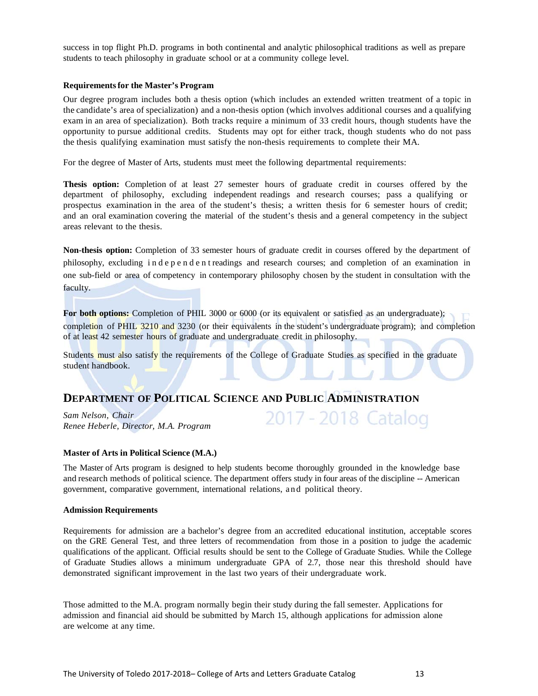success in top flight Ph.D. programs in both continental and analytic philosophical traditions as well as prepare students to teach philosophy in graduate school or at a community college level.

### **Requirements for the Master's Program**

Our degree program includes both a thesis option (which includes an extended written treatment of a topic in the candidate's area of specialization) and a non-thesis option (which involves additional courses and a qualifying exam in an area of specialization). Both tracks require a minimum of 33 credit hours, though students have the opportunity to pursue additional credits. Students may opt for either track, though students who do not pass the thesis qualifying examination must satisfy the non-thesis requirements to complete their MA.

For the degree of Master of Arts, students must meet the following departmental requirements:

**Thesis option:** Completion of at least 27 semester hours of graduate credit in courses offered by the department of philosophy, excluding independent readings and research courses; pass a qualifying or prospectus examination in the area of the student's thesis; a written thesis for 6 semester hours of credit; and an oral examination covering the material of the student's thesis and a general competency in the subject areas relevant to the thesis.

**Non-thesis option:** Completion of 33 semester hours of graduate credit in courses offered by the department of philosophy, excluding i n d e p e n d e n t readings and research courses; and completion of an examination in one sub-field or area of competency in contemporary philosophy chosen by the student in consultation with the faculty.

For both options: Completion of PHIL 3000 or 6000 (or its equivalent or satisfied as an undergraduate); completion of PHIL 3210 and 3230 (or their equivalents in the student's undergraduate program); and completion of at least 42 semester hours of graduate and undergraduate credit in philosophy.

2017 - 2018 Catalog

Students must also satisfy the requirements of the College of Graduate Studies as specified in the graduate student handbook.

# **DEPARTMENT OF POLITICAL SCIENCE AND PUBLIC ADMINISTRATION**

*Sam Nelson, Chair Renee Heberle, Director, M.A. Program*

### **Master of Arts in Political Science (M.A.)**

The Master of Arts program is designed to help students become thoroughly grounded in the knowledge base and research methods of political science. The department offers study in four areas of the discipline -- American government, comparative government, international relations, a nd political theory.

#### **Admission Requirements**

Requirements for admission are a bachelor's degree from an accredited educational institution, acceptable scores on the GRE General Test, and three letters of recommendation from those in a position to judge the academic qualifications of the applicant. Official results should be sent to the College of Graduate Studies. While the College of Graduate Studies allows a minimum undergraduate GPA of 2.7, those near this threshold should have demonstrated significant improvement in the last two years of their undergraduate work.

Those admitted to the M.A. program normally begin their study during the fall semester. Applications for admission and financial aid should be submitted by March 15, although applications for admission alone are welcome at any time.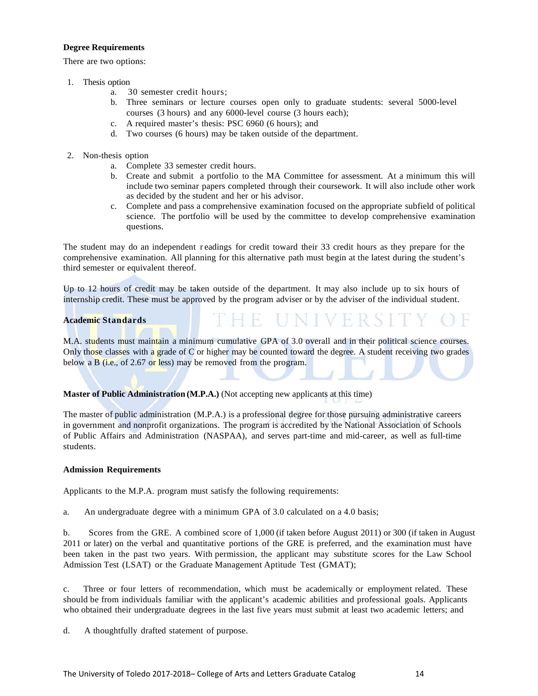# **Degree Requirements**

There are two options:

- 1. Thesis option
	- a. 30 semester credit hours;
	- b. Three seminars or lecture courses open only to graduate students: several 5000-level courses (3 hours) and any 6000-level course (3 hours each);
	- c. A required master's thesis: PSC 6960 (6 hours); and
	- d. Two courses (6 hours) may be taken outside of the department.
- 2. Non-thesis option
	- a. Complete 33 semester credit hours.
	- b. Create and submit a portfolio to the MA Committee for assessment. At a minimum this will include two seminar papers completed through their coursework. It will also include other work as decided by the student and her or his advisor.
	- c. Complete and pass a comprehensive examination focused on the appropriate subfield of political science. The portfolio will be used by the committee to develop comprehensive examination questions.

THE UNIVERSI

The student may do an independent r eadings for credit toward their 33 credit hours as they prepare for the comprehensive examination. All planning for this alternative path must begin at the latest during the student's third semester or equivalent thereof.

Up to 12 hours of credit may be taken outside of the department. It may also include up to six hours of internship credit. These must be approved by the program adviser or by the adviser of the individual student.

# **Academic Standards**

M.A. students must maintain a minimum cumulative GPA of 3.0 overall and in their political science courses. Only those classes with a grade of C or higher may be counted toward the degree. A student receiving two grades below a B (i.e., of 2.67 or less) may be removed from the program.

# **Master of Public Administration (M.P.A.)** (Not accepting new applicants at this time)

The master of public administration (M.P.A.) is a professional degree for those pursuing administrative careers in government and nonprofit organizations. The program is accredited by the National Association of Schools of Public Affairs and Administration (NASPAA), and serves part-time and mid-career, as well as full-time students.

### **Admission Requirements**

Applicants to the M.P.A. program must satisfy the following requirements:

a. An undergraduate degree with a minimum GPA of 3.0 calculated on a 4.0 basis;

b. Scores from the GRE. A combined score of 1,000 (if taken before August 2011) or 300 (if taken in August 2011 or later) on the verbal and quantitative portions of the GRE is preferred, and the examination must have been taken in the past two years. With permission, the applicant may substitute scores for the Law School Admission Test (LSAT) or the Graduate Management Aptitude Test (GMAT);

c. Three or four letters of recommendation, which must be academically or employment related. These should be from individuals familiar with the applicant's academic abilities and professional goals. Applicants who obtained their undergraduate degrees in the last five years must submit at least two academic letters; and

d. A thoughtfully drafted statement of purpose.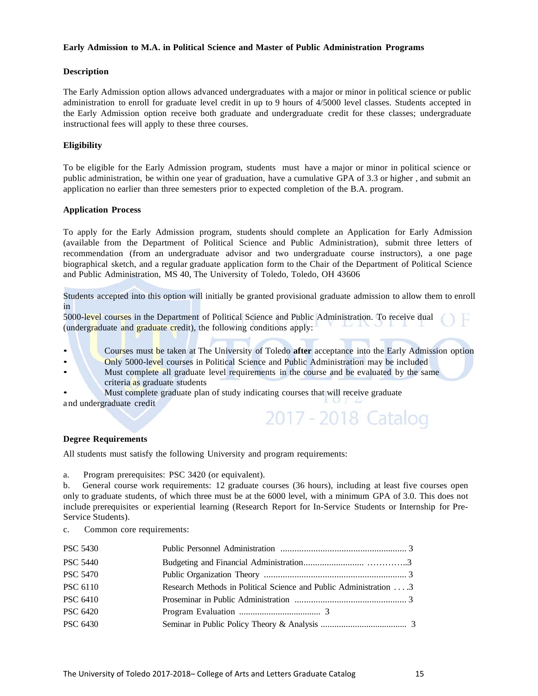# **Early Admission to M.A. in Political Science and Master of Public Administration Programs**

# **Description**

The Early Admission option allows advanced undergraduates with a major or minor in political science or public administration to enroll for graduate level credit in up to 9 hours of 4/5000 level classes. Students accepted in the Early Admission option receive both graduate and undergraduate credit for these classes; undergraduate instructional fees will apply to these three courses.

# **Eligibility**

To be eligible for the Early Admission program, students must have a major or minor in political science or public administration, be within one year of graduation, have a cumulative GPA of 3.3 or higher , and submit an application no earlier than three semesters prior to expected completion of the B.A. program.

### **Application Process**

To apply for the Early Admission program, students should complete an Application for Early Admission (available from the Department of Political Science and Public Administration), submit three letters of recommendation (from an undergraduate advisor and two undergraduate course instructors), a one page biographical sketch, and a regular graduate application form to the Chair of the Department of Political Science and Public Administration, MS 40, The University of Toledo, Toledo, OH 43606

Students accepted into this option will initially be granted provisional graduate admission to allow them to enroll in

5000-level courses in the Department of Political Science and Public Administration. To receive dual (undergraduate and graduate credit), the following conditions apply:

• Courses must be taken at The University of Toledo **after** acceptance into the Early Admission option

- Only 5000-level courses in Political Science and Public Administration may be included
- Must complete all graduate level requirements in the course and be evaluated by the same criteria as graduate students
- Must complete graduate plan of study indicating courses that will receive graduate

and undergraduate credit

# 2017 - 2018 Catalog

### **Degree Requirements**

All students must satisfy the following University and program requirements:

a. Program prerequisites: PSC 3420 (or equivalent).

b. General course work requirements: 12 graduate courses (36 hours), including at least five courses open only to graduate students, of which three must be at the 6000 level, with a minimum GPA of 3.0. This does not include prerequisites or experiential learning (Research Report for In-Service Students or Internship for Pre-Service Students).

c. Common core requirements:

| <b>PSC 5440</b><br><b>PSC 5470</b><br><b>PSC 6110</b><br>Research Methods in Political Science and Public Administration $\dots$ 3<br><b>PSC 6410</b><br><b>PSC 6420</b><br><b>PSC 6430</b> | <b>PSC 5430</b> |  |
|---------------------------------------------------------------------------------------------------------------------------------------------------------------------------------------------|-----------------|--|
|                                                                                                                                                                                             |                 |  |
|                                                                                                                                                                                             |                 |  |
|                                                                                                                                                                                             |                 |  |
|                                                                                                                                                                                             |                 |  |
|                                                                                                                                                                                             |                 |  |
|                                                                                                                                                                                             |                 |  |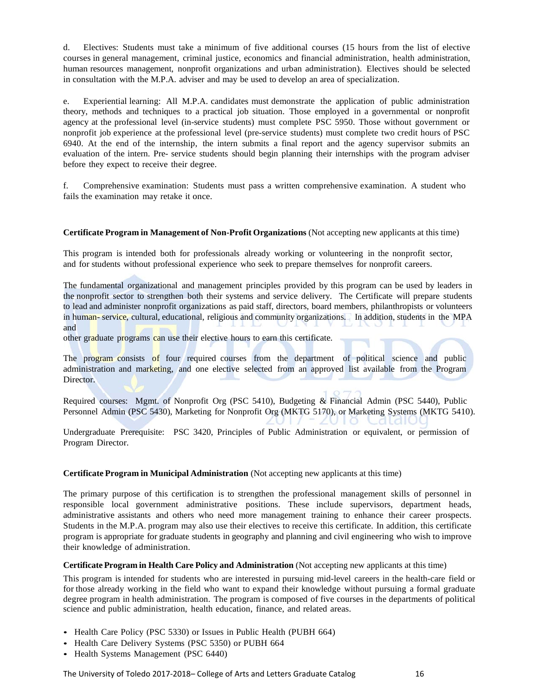d. Electives: Students must take a minimum of five additional courses (15 hours from the list of elective courses in general management, criminal justice, economics and financial administration, health administration, human resources management, nonprofit organizations and urban administration). Electives should be selected in consultation with the M.P.A. adviser and may be used to develop an area of specialization.

e. Experiential learning: All M.P.A. candidates must demonstrate the application of public administration theory, methods and techniques to a practical job situation. Those employed in a governmental or nonprofit agency at the professional level (in-service students) must complete PSC 5950. Those without government or nonprofit job experience at the professional level (pre-service students) must complete two credit hours of PSC 6940. At the end of the internship, the intern submits a final report and the agency supervisor submits an evaluation of the intern. Pre- service students should begin planning their internships with the program adviser before they expect to receive their degree.

f. Comprehensive examination: Students must pass a written comprehensive examination. A student who fails the examination may retake it once.

# **Certificate Program in Management of Non-Profit Organizations** (Not accepting new applicants at this time)

This program is intended both for professionals already working or volunteering in the nonprofit sector, and for students without professional experience who seek to prepare themselves for nonprofit careers.

The fundamental organizational and management principles provided by this program can be used by leaders in the nonprofit sector to strengthen both their systems and service delivery. The Certificate will prepare students to lead and administer nonprofit organizations as paid staff, directors, board members, philanthropists or volunteers in human- service, cultural, educational, religious and community organizations. In addition, students in the MPA and

other graduate programs can use their elective hours to earn this certificate.

The program consists of four required courses from the department of political science and public administration and marketing, and one elective selected from an approved list available from the Program Director.

Required courses: Mgmt. of Nonprofit Org (PSC 5410), Budgeting & Financial Admin (PSC 5440), Public Personnel Admin (PSC 5430), Marketing for Nonprofit Org (MKTG 5170), or Marketing Systems (MKTG 5410).

Undergraduate Prerequisite: PSC 3420, Principles of Public Administration or equivalent, or permission of Program Director.

### **Certificate Program in Municipal Administration** (Not accepting new applicants at this time)

The primary purpose of this certification is to strengthen the professional management skills of personnel in responsible local government administrative positions. These include supervisors, department heads, administrative assistants and others who need more management training to enhance their career prospects. Students in the M.P.A. program may also use their electives to receive this certificate. In addition, this certificate program is appropriate for graduate students in geography and planning and civil engineering who wish to improve their knowledge of administration.

### **Certificate Program in Health Care Policy and Administration** (Not accepting new applicants at this time)

This program is intended for students who are interested in pursuing mid-level careers in the health-care field or for those already working in the field who want to expand their knowledge without pursuing a formal graduate degree program in health administration. The program is composed of five courses in the departments of political science and public administration, health education, finance, and related areas.

- Health Care Policy (PSC 5330) or Issues in Public Health (PUBH 664)
- Health Care Delivery Systems (PSC 5350) or PUBH 664
- Health Systems Management (PSC 6440)

The University of Toledo 2017-2018– College of Arts and Letters Graduate Catalog **16**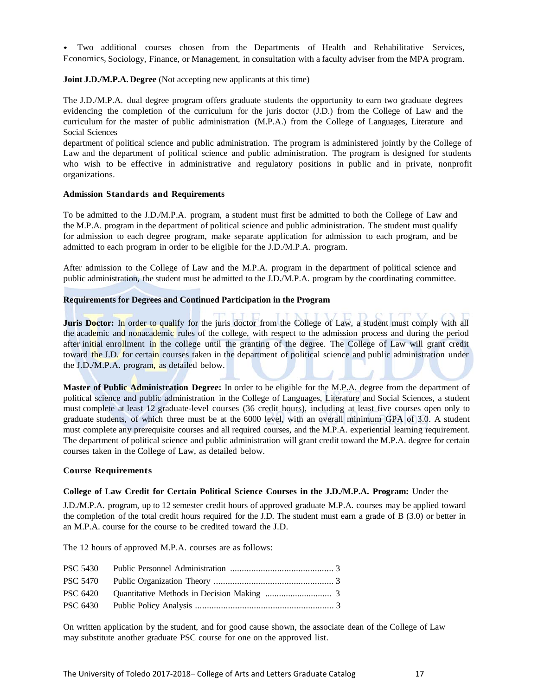• Two additional courses chosen from the Departments of Health and Rehabilitative Services, Economics, Sociology, Finance, or Management, in consultation with a faculty adviser from the MPA program.

# **Joint J.D./M.P.A. Degree** (Not accepting new applicants at this time)

The J.D./M.P.A. dual degree program offers graduate students the opportunity to earn two graduate degrees evidencing the completion of the curriculum for the juris doctor (J.D.) from the College of Law and the curriculum for the master of public administration (M.P.A.) from the College of Languages, Literature and Social Sciences

department of political science and public administration. The program is administered jointly by the College of Law and the department of political science and public administration. The program is designed for students who wish to be effective in administrative and regulatory positions in public and in private, nonprofit organizations.

### **Admission Standards and Requirements**

To be admitted to the J.D./M.P.A. program, a student must first be admitted to both the College of Law and the M.P.A. program in the department of political science and public administration. The student must qualify for admission to each degree program, make separate application for admission to each program, and be admitted to each program in order to be eligible for the J.D./M.P.A. program.

After admission to the College of Law and the M.P.A. program in the department of political science and public administration, the student must be admitted to the J.D./M.P.A. program by the coordinating committee.

# **Requirements for Degrees and Continued Participation in the Program**

**Juris Doctor:** In order to qualify for the juris doctor from the College of Law, a student must comply with all the academic and nonacademic rules of the college, with respect to the admission process and during the period after initial enrollment in the college until the granting of the degree. The College of Law will grant credit toward the J.D. for certain courses taken in the department of political science and public administration under the J.D./M.P.A. program, as detailed below.

**Master of Public Administration Degree:** In order to be eligible for the M.P.A. degree from the department of political science and public administration in the College of Languages, Literature and Social Sciences, a student must complete at least 12 graduate-level courses (36 credit hours), including at least five courses open only to graduate students, of which three must be at the 6000 level, with an overall minimum GPA of 3.0. A student must complete any prerequisite courses and all required courses, and the M.P.A. experiential learning requirement. The department of political science and public administration will grant credit toward the M.P.A. degree for certain courses taken in the College of Law, as detailed below.

### **Course Requirements**

### **College of Law Credit for Certain Political Science Courses in the J.D./M.P.A. Program:** Under the

J.D./M.P.A. program, up to 12 semester credit hours of approved graduate M.P.A. courses may be applied toward the completion of the total credit hours required for the J.D. The student must earn a grade of B (3.0) or better in an M.P.A. course for the course to be credited toward the J.D.

The 12 hours of approved M.P.A. courses are as follows:

On written application by the student, and for good cause shown, the associate dean of the College of Law may substitute another graduate PSC course for one on the approved list.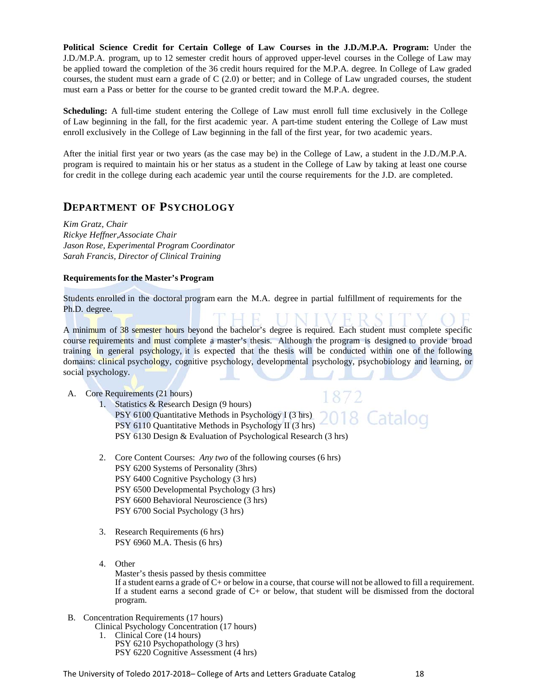**Political Science Credit for Certain College of Law Courses in the J.D./M.P.A. Program:** Under the J.D./M.P.A. program, up to 12 semester credit hours of approved upper-level courses in the College of Law may be applied toward the completion of the 36 credit hours required for the M.P.A. degree. In College of Law graded courses, the student must earn a grade of C (2.0) or better; and in College of Law ungraded courses, the student must earn a Pass or better for the course to be granted credit toward the M.P.A. degree.

**Scheduling:** A full-time student entering the College of Law must enroll full time exclusively in the College of Law beginning in the fall, for the first academic year. A part-time student entering the College of Law must enroll exclusively in the College of Law beginning in the fall of the first year, for two academic years.

After the initial first year or two years (as the case may be) in the College of Law, a student in the J.D./M.P.A. program is required to maintain his or her status as a student in the College of Law by taking at least one course for credit in the college during each academic year until the course requirements for the J.D. are completed.

# **DEPARTMENT OF PSYCHOLOGY**

*Kim Gratz, Chair Rickye Heffner,Associate Chair Jason Rose, Experimental Program Coordinator Sarah Francis, Director of Clinical Training* 

# **Requirements for the Master's Program**

Students enrolled in the doctoral program earn the M.A. degree in partial fulfillment of requirements for the Ph.D. degree.

A minimum of 38 semester hours beyond the bachelor's degree is required. Each student must complete specific course requirements and must complete a master's thesis. Although the program is designed to provide broad training in general psychology, it is expected that the thesis will be conducted within one of the following domains: clinical psychology, cognitive psychology, developmental psychology, psychobiology and learning, or social psychology.

A. Core Requirements (21 hours)

- 1. Statistics & Research Design (9 hours) 018 Catalog PSY 6100 Quantitative Methods in Psychology I (3 hrs) PSY 6110 Quantitative Methods in Psychology II (3 hrs) PSY 6130 Design & Evaluation of Psychological Research (3 hrs)
- 2. Core Content Courses: *Any two* of the following courses (6 hrs) PSY 6200 Systems of Personality (3hrs) PSY 6400 Cognitive Psychology (3 hrs) PSY 6500 Developmental Psychology (3 hrs) PSY 6600 Behavioral Neuroscience (3 hrs) PSY 6700 Social Psychology (3 hrs)
- 3. Research Requirements (6 hrs) PSY 6960 M.A. Thesis (6 hrs)
- 4. Other

Master's thesis passed by thesis committee If a student earns a grade of C+ or below in a course, that course will not be allowed to fill a requirement. If a student earns a second grade of  $C<sub>+</sub>$  or below, that student will be dismissed from the doctoral program.

- B. Concentration Requirements (17 hours)
	- Clinical Psychology Concentration (17 hours) 1. Clinical Core (14 hours) PSY 6210 Psychopathology (3 hrs) PSY 6220 Cognitive Assessment (4 hrs)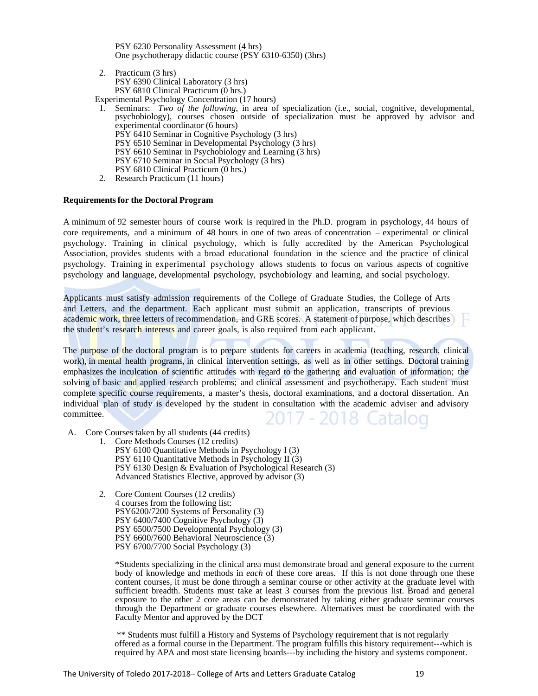PSY 6230 Personality Assessment (4 hrs) One psychotherapy didactic course (PSY 6310-6350) (3hrs)

- 2. Practicum (3 hrs) PSY 6390 Clinical Laboratory (3 hrs) PSY 6810 Clinical Practicum (0 hrs.)
- Experimental Psychology Concentration (17 hours)
- 1. Seminars: *Two of the following*, in area of specialization (i.e., social, cognitive, developmental, psychobiology), courses chosen outside of specialization must be approved by advisor and experimental coordinator (6 hours) PSY 6410 Seminar in Cognitive Psychology (3 hrs) PSY 6510 Seminar in Developmental Psychology (3 hrs) PSY 6610 Seminar in Psychobiology and Learning (3 hrs) PSY 6710 Seminar in Social Psychology (3 hrs) PSY 6810 Clinical Practicum (0 hrs.)
- 2. Research Practicum (11 hours)

#### **Requirements for the Doctoral Program**

A minimum of 92 semester hours of course work is required in the Ph.D. program in psychology, 44 hours of core requirements, and a minimum of 48 hours in one of two areas of concentration – experimental or clinical psychology. Training in clinical psychology, which is fully accredited by the American Psychological Association, provides students with a broad educational foundation in the science and the practice of clinical psychology. Training in experimental psychology allows students to focus on various aspects of cognitive psychology and language, developmental psychology, psychobiology and learning, and social psychology.

Applicants must satisfy admission requirements of the College of Graduate Studies, the College of Arts and Letters, and the department. Each applicant must submit an application, transcripts of previous academic work, three letters of recommendation, and GRE scores. A statement of purpose, which describes the student's research interests and career goals, is also required from each applicant.

The purpose of the doctoral program is to prepare students for careers in academia (teaching, research, clinical work), in mental health programs, in clinical intervention settings, as well as in other settings. Doctoral training emphasizes the inculcation of scientific attitudes with regard to the gathering and evaluation of information; the solving of basic and applied research problems; and clinical assessment and psychotherapy. Each student must complete specific course requirements, a master's thesis, doctoral examinations, and a doctoral dissertation. An individual plan of study is developed by the student in consultation with the academic adviser and advisory committee. 117 - 2018 (

- A. Core Courses taken by all students (44 credits)
	- 1. Core Methods Courses (12 credits) PSY 6100 Quantitative Methods in Psychology I (3) PSY 6110 Quantitative Methods in Psychology II $(3)$ PSY 6130 Design & Evaluation of Psychological Research (3) Advanced Statistics Elective, approved by advisor (3)
	- 2. Core Content Courses (12 credits) 4 courses from the following list: PSY6200/7200 Systems of Personality (3) PSY 6400/7400 Cognitive Psychology (3) PSY 6500/7500 Developmental Psychology (3) PSY 6600/7600 Behavioral Neuroscience (3) PSY 6700/7700 Social Psychology (3)

\*Students specializing in the clinical area must demonstrate broad and general exposure to the current body of knowledge and methods in *each* of these core areas. If this is not done through one these content courses, it must be done through a seminar course or other activity at the graduate level with sufficient breadth. Students must take at least 3 courses from the previous list. Broad and general exposure to the other 2 core areas can be demonstrated by taking either graduate seminar courses through the Department or graduate courses elsewhere. Alternatives must be coordinated with the Faculty Mentor and approved by the DCT

\*\* Students must fulfill a History and Systems of Psychology requirement that is not regularly offered as a formal course in the Department. The program fulfills this history requirement---which is required by APA and most state licensing boards---by including the history and systems component.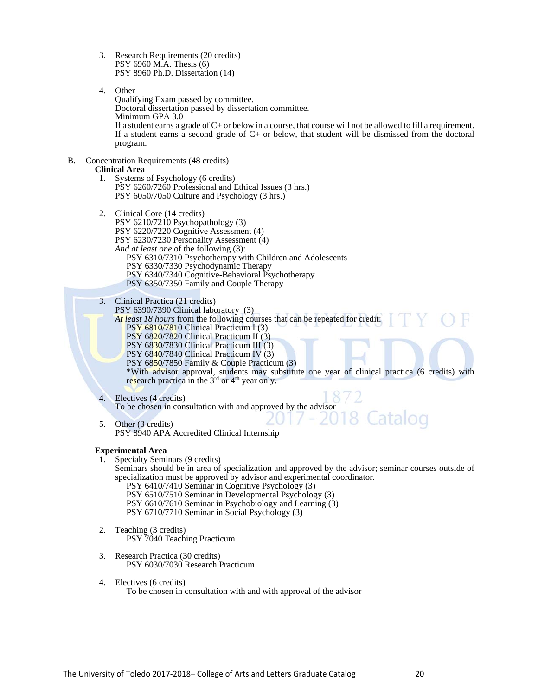- 3. Research Requirements (20 credits) PSY 6960 M.A. Thesis (6) PSY 8960 Ph.D. Dissertation (14)
- 4. Other

Qualifying Exam passed by committee. Doctoral dissertation passed by dissertation committee. Minimum GPA 3.0 If a student earns a grade of C+ or below in a course, that course will not be allowed to fill a requirement. If a student earns a second grade of C+ or below, that student will be dismissed from the doctoral program.

B. Concentration Requirements (48 credits)

# **Clinical Area**

- 1. Systems of Psychology (6 credits) PSY 6260/7260 Professional and Ethical Issues (3 hrs.) PSY 6050/7050 Culture and Psychology (3 hrs.)
- 2. Clinical Core (14 credits) PSY 6210/7210 Psychopathology (3) PSY 6220/7220 Cognitive Assessment (4) PSY 6230/7230 Personality Assessment (4) *And at least one* of the following (3): PSY 6310/7310 Psychotherapy with Children and Adolescents PSY 6330/7330 Psychodynamic Therapy PSY 6340/7340 Cognitive-Behavioral Psychotherapy PSY 6350/7350 Family and Couple Therapy
- 3. Clinical Practica (21 credits)
	- PSY 6390/7390 Clinical laboratory (3)

*At least 18 hours* from the following courses that can be repeated for credit: PSY 6810/7810 Clinical Practicum I (3) PSY 6820/7820 Clinical Practicum II (3)

- PSY 6830/7830 Clinical Practicum III (3)
- PSY 6840/7840 Clinical Practicum IV (3)

PSY 6850/7850 Family & Couple Practicum (3)

\*With advisor approval, students may substitute one year of clinical practica (6 credits) with research practica in the 3<sup>rd</sup> or 4<sup>th</sup> year only.

4. Electives (4 credits) To be chosen in consultation with and approved by the advisor

5. Other (3 credits) PSY 8940 APA Accredited Clinical Internship

### **Experimental Area**

- 1. Specialty Seminars (9 credits)
- Seminars should be in area of specialization and approved by the advisor; seminar courses outside of specialization must be approved by advisor and experimental coordinator.
	- PSY 6410/7410 Seminar in Cognitive Psychology (3) PSY 6510/7510 Seminar in Developmental Psychology (3) PSY 6610/7610 Seminar in Psychobiology and Learning (3) PSY 6710/7710 Seminar in Social Psychology (3)
- 2. Teaching (3 credits) PSY 7040 Teaching Practicum
- 3. Research Practica (30 credits) PSY 6030/7030 Research Practicum
- 4. Electives (6 credits) To be chosen in consultation with and with approval of the advisor

Iatalog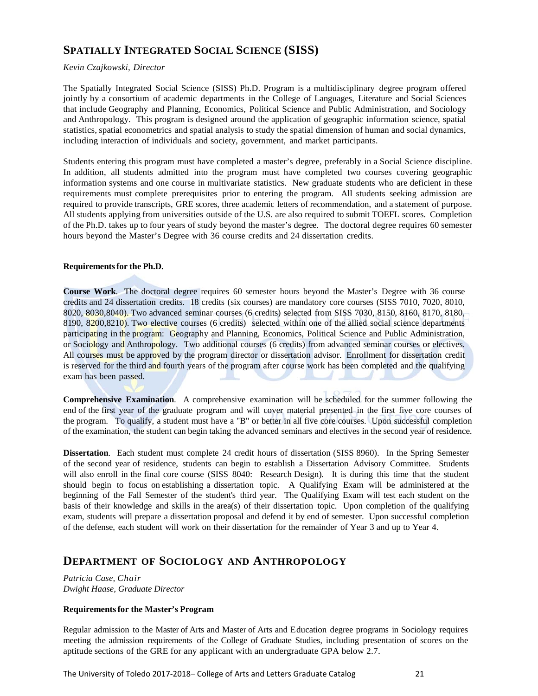# **SPATIALLY INTEGRATED SOCIAL SCIENCE (SISS)**

# *Kevin Czajkowski, Director*

The Spatially Integrated Social Science (SISS) Ph.D. Program is a multidisciplinary degree program offered jointly by a consortium of academic departments in the College of Languages, Literature and Social Sciences that include Geography and Planning, Economics, Political Science and Public Administration, and Sociology and Anthropology. This program is designed around the application of geographic information science, spatial statistics, spatial econometrics and spatial analysis to study the spatial dimension of human and social dynamics, including interaction of individuals and society, government, and market participants.

Students entering this program must have completed a master's degree, preferably in a Social Science discipline. In addition, all students admitted into the program must have completed two courses covering geographic information systems and one course in multivariate statistics. New graduate students who are deficient in these requirements must complete prerequisites prior to entering the program. All students seeking admission are required to provide transcripts, GRE scores, three academic letters of recommendation, and a statement of purpose. All students applying from universities outside of the U.S. are also required to submit TOEFL scores. Completion of the Ph.D. takes up to four years of study beyond the master's degree. The doctoral degree requires 60 semester hours beyond the Master's Degree with 36 course credits and 24 dissertation credits.

# **Requirements for the Ph.D.**

**Course Work**. The doctoral degree requires 60 semester hours beyond the Master's Degree with 36 course credits and 24 dissertation credits. 18 credits (six courses) are mandatory core courses (SISS 7010, 7020, 8010, 8020, 8030,8040). Two advanced seminar courses (6 credits) selected from SISS 7030, 8150, 8160, 8170, 8180, 8190, 8200,8210). Two elective courses (6 credits) selected within one of the allied social science departments participating in the program: Geography and Planning, Economics, Political Science and Public Administration, or Sociology and Anthropology. Two additional courses (6 credits) from advanced seminar courses or electives. All courses must be approved by the program director or dissertation advisor. Enrollment for dissertation credit is reserved for the third and fourth years of the program after course work has been completed and the qualifying exam has been passed.

**Comprehensive Examination**. A comprehensive examination will be scheduled for the summer following the end of the first year of the graduate program and will cover material presented in the first five core courses of the program. To qualify, a student must have a "B" or better in all five core courses. Upon successful completion of the examination, the student can begin taking the advanced seminars and electives in the second year of residence.

**Dissertation**. Each student must complete 24 credit hours of dissertation (SISS 8960). In the Spring Semester of the second year of residence, students can begin to establish a Dissertation Advisory Committee. Students will also enroll in the final core course (SISS 8040: Research Design). It is during this time that the student should begin to focus on establishing a dissertation topic. A Qualifying Exam will be administered at the beginning of the Fall Semester of the student's third year. The Qualifying Exam will test each student on the basis of their knowledge and skills in the area(s) of their dissertation topic. Upon completion of the qualifying exam, students will prepare a dissertation proposal and defend it by end of semester. Upon successful completion of the defense, each student will work on their dissertation for the remainder of Year 3 and up to Year 4.

# **DEPARTMENT OF SOCIOLOGY AND ANTHROPOLOGY**

*Patricia Case, Chair Dwight Haase, Graduate Director*

# **Requirements for the Master's Program**

Regular admission to the Master of Arts and Master of Arts and Education degree programs in Sociology requires meeting the admission requirements of the College of Graduate Studies, including presentation of scores on the aptitude sections of the GRE for any applicant with an undergraduate GPA below 2.7.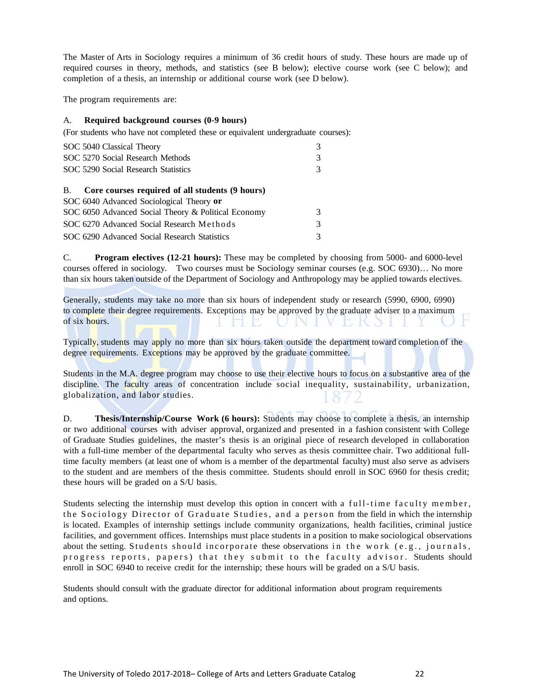The Master of Arts in Sociology requires a minimum of 36 credit hours of study. These hours are made up of required courses in theory, methods, and statistics (see B below); elective course work (see C below); and completion of a thesis, an internship or additional course work (see D below).

The program requirements are:

# A. **Required background courses (0-9 hours)**

(For students who have not completed these or equivalent undergraduate courses):

| SOC 5040 Classical Theory                                    | 3 |
|--------------------------------------------------------------|---|
| SOC 5270 Social Research Methods                             | 3 |
| SOC 5290 Social Research Statistics                          | 3 |
|                                                              |   |
| Core courses required of all students (9 hours)<br><b>B.</b> |   |
| SOC 6040 Advanced Sociological Theory or                     |   |
| SOC 6050 Advanced Social Theory & Political Economy          | 3 |
| SOC 6270 Advanced Social Research Methods                    |   |

SOC 6290 Advanced Social Research Statistics 3

C. **Program electives (12-21 hours):** These may be completed by choosing from 5000- and 6000-level courses offered in sociology. Two courses must be Sociology seminar courses (e.g. SOC 6930)… No more than six hours taken outside of the Department of Sociology and Anthropology may be applied towards electives.

Generally, students may take no more than six hours of independent study or research (5990, 6900, 6990) to complete their degree requirements. Exceptions may be approved by the graduate adviser to a maximum of six hours. NIVEKSI

Typically, students may apply no more than six hours taken outside the department toward completion of the degree requirements. Exceptions may be approved by the graduate committee.

Students in the M.A. degree program may choose to use their elective hours to focus on a substantive area of the discipline. The faculty areas of concentration include social inequality, sustainability, urbanization, globalization, and labor studies.

D. **Thesis/Internship/Course Work (6 hours):** Students may choose to complete a thesis, an internship or two additional courses with adviser approval, organized and presented in a fashion consistent with College of Graduate Studies guidelines, the master's thesis is an original piece of research developed in collaboration with a full-time member of the departmental faculty who serves as thesis committee chair. Two additional fulltime faculty members (at least one of whom is a member of the departmental faculty) must also serve as advisers to the student and are members of the thesis committee. Students should enroll in SOC 6960 for thesis credit; these hours will be graded on a S/U basis.

Students selecting the internship must develop this option in concert with a full-time faculty member, the Sociology Director of Graduate Studies, and a person from the field in which the internship is located. Examples of internship settings include community organizations, health facilities, criminal justice facilities, and government offices. Internships must place students in a position to make sociological observations about the setting. Students should incorporate these observations in the work (e.g., journals, progress reports, papers) that they submit to the faculty advisor. Students should enroll in SOC 6940 to receive credit for the internship; these hours will be graded on a S/U basis.

Students should consult with the graduate director for additional information about program requirements and options.